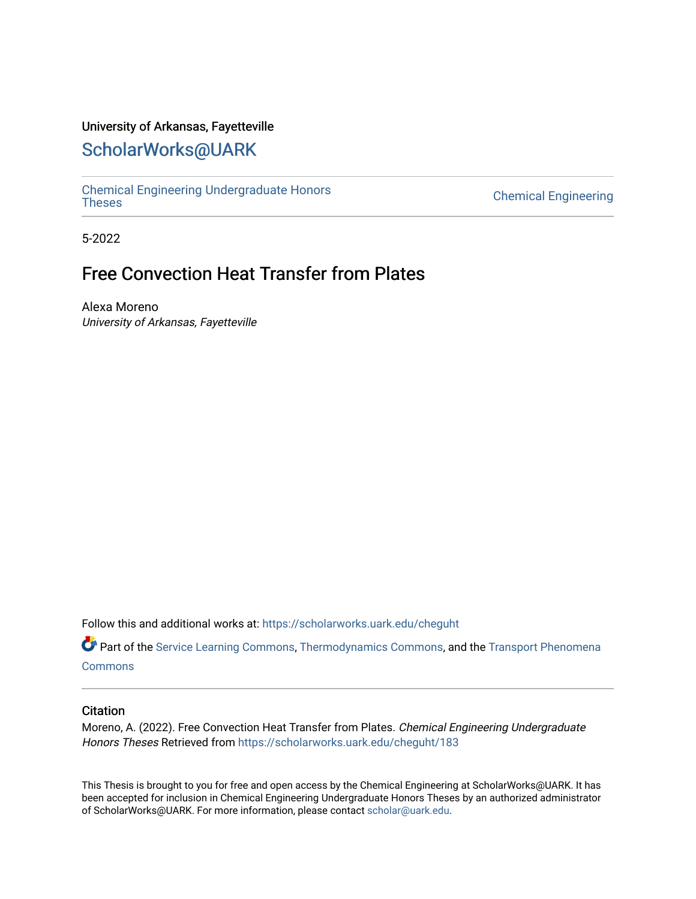## University of Arkansas, Fayetteville

# [ScholarWorks@UARK](https://scholarworks.uark.edu/)

[Chemical Engineering Undergraduate Honors](https://scholarworks.uark.edu/cheguht)

**Chemical Engineering** 

5-2022

# Free Convection Heat Transfer from Plates

Alexa Moreno University of Arkansas, Fayetteville

Follow this and additional works at: [https://scholarworks.uark.edu/cheguht](https://scholarworks.uark.edu/cheguht?utm_source=scholarworks.uark.edu%2Fcheguht%2F183&utm_medium=PDF&utm_campaign=PDFCoverPages)

Part of the [Service Learning Commons](http://network.bepress.com/hgg/discipline/1024?utm_source=scholarworks.uark.edu%2Fcheguht%2F183&utm_medium=PDF&utm_campaign=PDFCoverPages), [Thermodynamics Commons,](http://network.bepress.com/hgg/discipline/248?utm_source=scholarworks.uark.edu%2Fcheguht%2F183&utm_medium=PDF&utm_campaign=PDFCoverPages) and the [Transport Phenomena](http://network.bepress.com/hgg/discipline/249?utm_source=scholarworks.uark.edu%2Fcheguht%2F183&utm_medium=PDF&utm_campaign=PDFCoverPages)  **[Commons](http://network.bepress.com/hgg/discipline/249?utm_source=scholarworks.uark.edu%2Fcheguht%2F183&utm_medium=PDF&utm_campaign=PDFCoverPages)** 

#### **Citation**

Moreno, A. (2022). Free Convection Heat Transfer from Plates. Chemical Engineering Undergraduate Honors Theses Retrieved from [https://scholarworks.uark.edu/cheguht/183](https://scholarworks.uark.edu/cheguht/183?utm_source=scholarworks.uark.edu%2Fcheguht%2F183&utm_medium=PDF&utm_campaign=PDFCoverPages) 

This Thesis is brought to you for free and open access by the Chemical Engineering at ScholarWorks@UARK. It has been accepted for inclusion in Chemical Engineering Undergraduate Honors Theses by an authorized administrator of ScholarWorks@UARK. For more information, please contact [scholar@uark.edu.](mailto:scholar@uark.edu)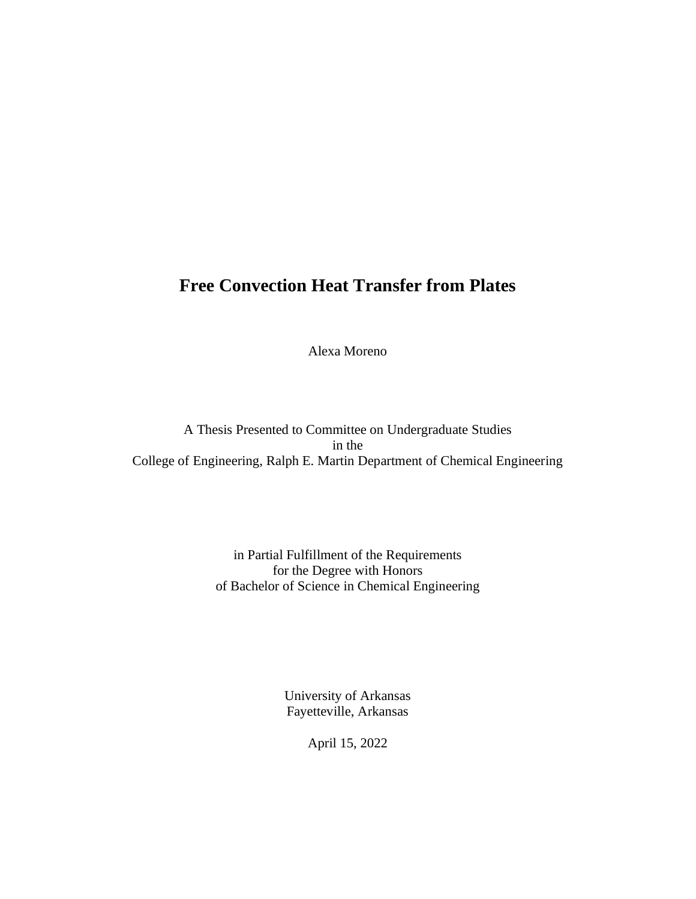# **Free Convection Heat Transfer from Plates**

Alexa Moreno

A Thesis Presented to Committee on Undergraduate Studies in the College of Engineering, Ralph E. Martin Department of Chemical Engineering

> in Partial Fulfillment of the Requirements for the Degree with Honors of Bachelor of Science in Chemical Engineering

> > University of Arkansas Fayetteville, Arkansas

> > > April 15, 2022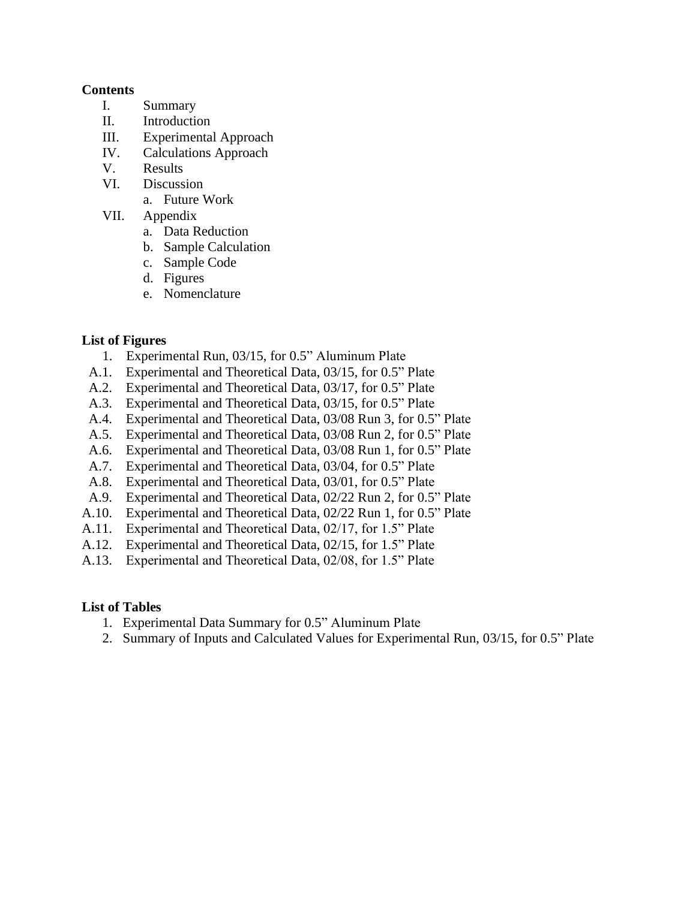## **Contents**

- I. Summary
- II. Introduction
- III. Experimental Approach
- IV. Calculations Approach
- V. Results
- VI. Discussion
	- a. Future Work
- VII. Appendix
	- a. Data Reduction
	- b. Sample Calculation
	- c. Sample Code
	- d. Figures
	- e. Nomenclature

## **List of Figures**

- 1. Experimental Run, 03/15, for 0.5" Aluminum Plate
- A.1. Experimental and Theoretical Data, 03/15, for 0.5" Plate
- A.2. Experimental and Theoretical Data, 03/17, for 0.5" Plate
- A.3. Experimental and Theoretical Data, 03/15, for 0.5" Plate
- A.4. Experimental and Theoretical Data, 03/08 Run 3, for 0.5" Plate
- A.5. Experimental and Theoretical Data, 03/08 Run 2, for 0.5" Plate
- A.6. Experimental and Theoretical Data, 03/08 Run 1, for 0.5" Plate
- A.7. Experimental and Theoretical Data, 03/04, for 0.5" Plate
- A.8. Experimental and Theoretical Data, 03/01, for 0.5" Plate
- A.9. Experimental and Theoretical Data, 02/22 Run 2, for 0.5" Plate
- A.10. Experimental and Theoretical Data, 02/22 Run 1, for 0.5" Plate
- A.11. Experimental and Theoretical Data, 02/17, for 1.5" Plate
- A.12. Experimental and Theoretical Data, 02/15, for 1.5" Plate
- A.13. Experimental and Theoretical Data, 02/08, for 1.5" Plate

### **List of Tables**

- 1. Experimental Data Summary for 0.5" Aluminum Plate
- 2. Summary of Inputs and Calculated Values for Experimental Run, 03/15, for 0.5" Plate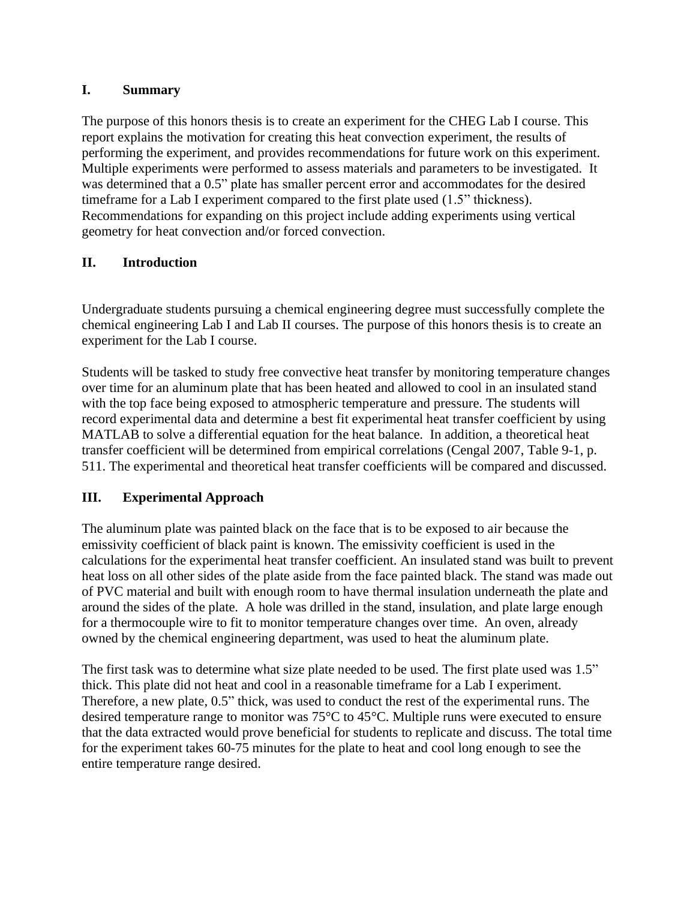# **I. Summary**

The purpose of this honors thesis is to create an experiment for the CHEG Lab I course. This report explains the motivation for creating this heat convection experiment, the results of performing the experiment, and provides recommendations for future work on this experiment. Multiple experiments were performed to assess materials and parameters to be investigated. It was determined that a 0.5" plate has smaller percent error and accommodates for the desired timeframe for a Lab I experiment compared to the first plate used (1.5" thickness). Recommendations for expanding on this project include adding experiments using vertical geometry for heat convection and/or forced convection.

# **II. Introduction**

Undergraduate students pursuing a chemical engineering degree must successfully complete the chemical engineering Lab I and Lab II courses. The purpose of this honors thesis is to create an experiment for the Lab I course.

Students will be tasked to study free convective heat transfer by monitoring temperature changes over time for an aluminum plate that has been heated and allowed to cool in an insulated stand with the top face being exposed to atmospheric temperature and pressure. The students will record experimental data and determine a best fit experimental heat transfer coefficient by using MATLAB to solve a differential equation for the heat balance. In addition, a theoretical heat transfer coefficient will be determined from empirical correlations (Cengal 2007, Table 9-1, p. 511. The experimental and theoretical heat transfer coefficients will be compared and discussed.

# **III. Experimental Approach**

The aluminum plate was painted black on the face that is to be exposed to air because the emissivity coefficient of black paint is known. The emissivity coefficient is used in the calculations for the experimental heat transfer coefficient. An insulated stand was built to prevent heat loss on all other sides of the plate aside from the face painted black. The stand was made out of PVC material and built with enough room to have thermal insulation underneath the plate and around the sides of the plate. A hole was drilled in the stand, insulation, and plate large enough for a thermocouple wire to fit to monitor temperature changes over time. An oven, already owned by the chemical engineering department, was used to heat the aluminum plate.

The first task was to determine what size plate needed to be used. The first plate used was 1.5" thick. This plate did not heat and cool in a reasonable timeframe for a Lab I experiment. Therefore, a new plate, 0.5" thick, was used to conduct the rest of the experimental runs. The desired temperature range to monitor was 75°C to 45°C. Multiple runs were executed to ensure that the data extracted would prove beneficial for students to replicate and discuss. The total time for the experiment takes 60-75 minutes for the plate to heat and cool long enough to see the entire temperature range desired.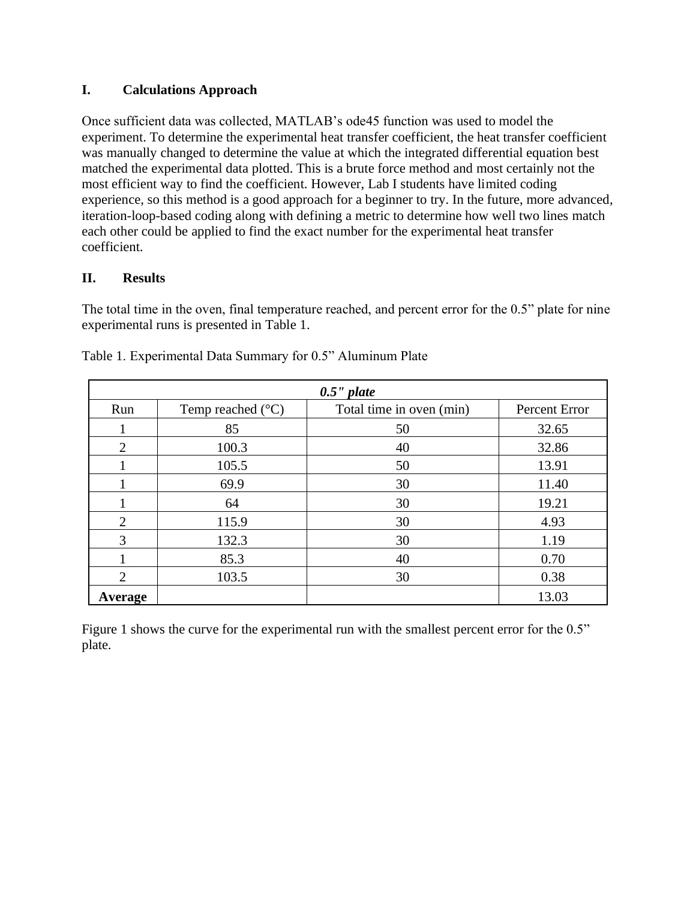# **I. Calculations Approach**

Once sufficient data was collected, MATLAB's ode45 function was used to model the experiment. To determine the experimental heat transfer coefficient, the heat transfer coefficient was manually changed to determine the value at which the integrated differential equation best matched the experimental data plotted. This is a brute force method and most certainly not the most efficient way to find the coefficient. However, Lab I students have limited coding experience, so this method is a good approach for a beginner to try. In the future, more advanced, iteration-loop-based coding along with defining a metric to determine how well two lines match each other could be applied to find the exact number for the experimental heat transfer coefficient.

# **II. Results**

The total time in the oven, final temperature reached, and percent error for the 0.5" plate for nine experimental runs is presented in Table 1.

| $0.5$ " plate  |                            |                          |               |  |  |
|----------------|----------------------------|--------------------------|---------------|--|--|
| Run            | Temp reached $(^{\circ}C)$ | Total time in oven (min) | Percent Error |  |  |
|                | 85                         | 50                       | 32.65         |  |  |
| 2              | 100.3                      | 40                       | 32.86         |  |  |
|                | 105.5                      | 50                       | 13.91         |  |  |
|                | 69.9                       | 30                       | 11.40         |  |  |
|                | 64                         | 30                       | 19.21         |  |  |
| $\overline{2}$ | 115.9                      | 30                       | 4.93          |  |  |
| 3              | 132.3                      | 30                       | 1.19          |  |  |
|                | 85.3                       | 40                       | 0.70          |  |  |
| っ              | 103.5                      | 30                       | 0.38          |  |  |
| Average        |                            |                          | 13.03         |  |  |

Table 1. Experimental Data Summary for 0.5" Aluminum Plate

Figure 1 shows the curve for the experimental run with the smallest percent error for the 0.5" plate.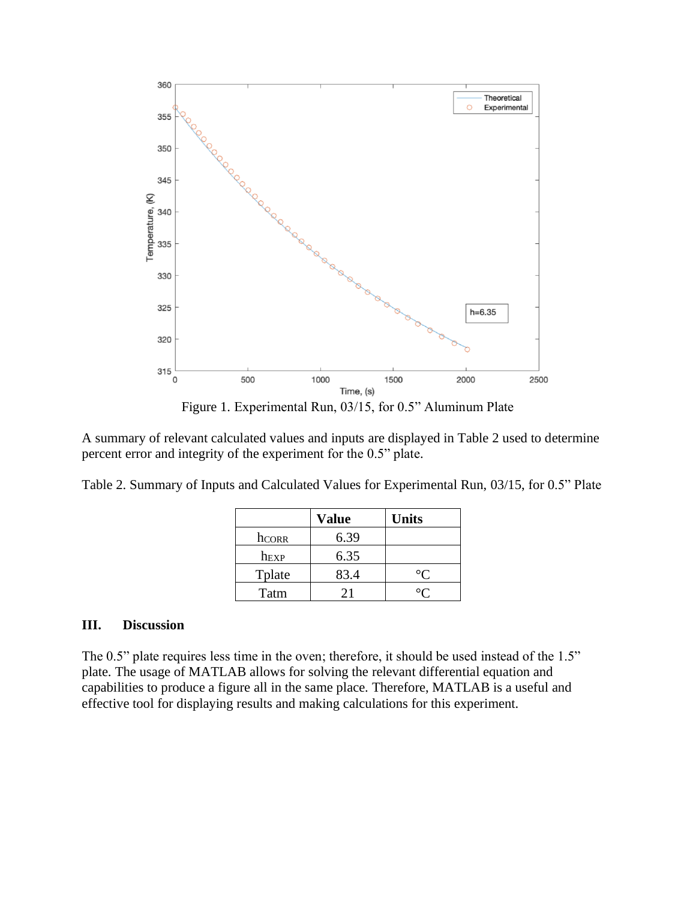



A summary of relevant calculated values and inputs are displayed in Table 2 used to determine percent error and integrity of the experiment for the 0.5" plate.

| Table 2. Summary of Inputs and Calculated Values for Experimental Run, 03/15, for 0.5" Plate |  |  |  |  |  |
|----------------------------------------------------------------------------------------------|--|--|--|--|--|
|----------------------------------------------------------------------------------------------|--|--|--|--|--|

|                  | <b>Value</b> | <b>Units</b> |
|------------------|--------------|--------------|
| hcorr            | 6.39         |              |
| h <sub>EXP</sub> | 6.35         |              |
| Tplate           | 83.4         |              |
| Tatm             | 71           |              |

### **III. Discussion**

The 0.5" plate requires less time in the oven; therefore, it should be used instead of the 1.5" plate. The usage of MATLAB allows for solving the relevant differential equation and capabilities to produce a figure all in the same place. Therefore, MATLAB is a useful and effective tool for displaying results and making calculations for this experiment.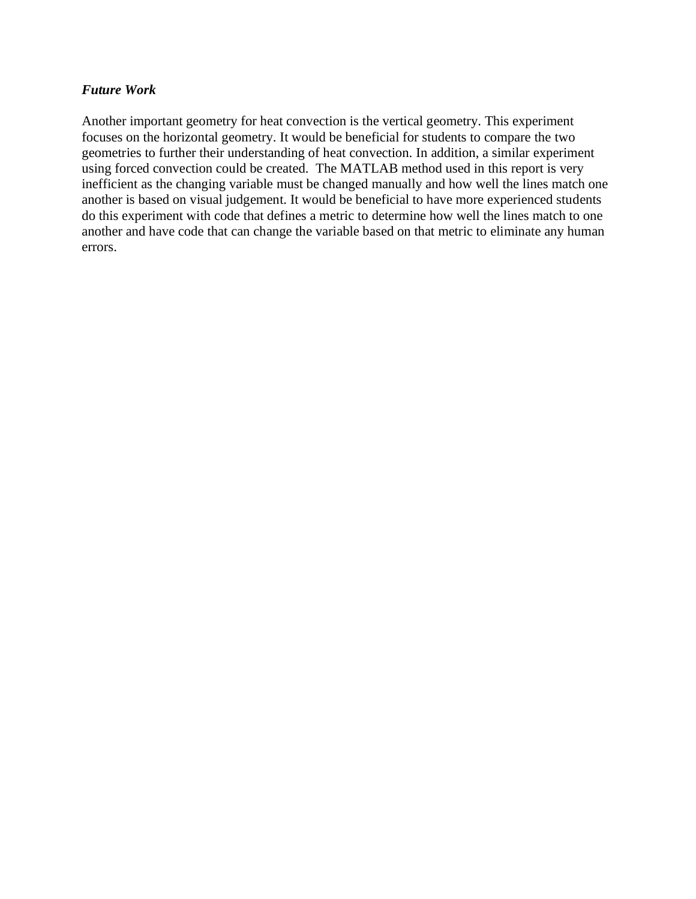## *Future Work*

Another important geometry for heat convection is the vertical geometry. This experiment focuses on the horizontal geometry. It would be beneficial for students to compare the two geometries to further their understanding of heat convection. In addition, a similar experiment using forced convection could be created. The MATLAB method used in this report is very inefficient as the changing variable must be changed manually and how well the lines match one another is based on visual judgement. It would be beneficial to have more experienced students do this experiment with code that defines a metric to determine how well the lines match to one another and have code that can change the variable based on that metric to eliminate any human errors.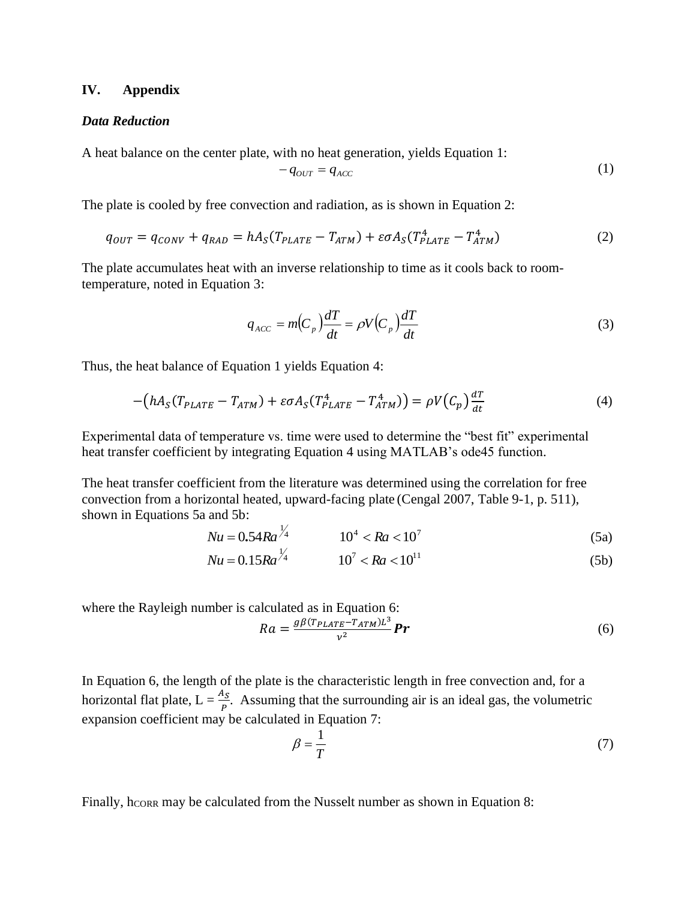#### **IV. Appendix**

#### *Data Reduction*

A heat balance on the center plate, with no heat generation, yields Equation 1:

$$
-q_{OUT} = q_{ACC} \tag{1}
$$

The plate is cooled by free convection and radiation, as is shown in Equation 2:

$$
q_{OUT} = q_{CONV} + q_{RAD} = hA_S(T_{PLATE} - T_{ATM}) + \varepsilon \sigma A_S(T_{PLATE}^4 - T_{ATM}^4)
$$
\n
$$
\tag{2}
$$

The plate accumulates heat with an inverse relationship to time as it cools back to roomtemperature, noted in Equation 3:

$$
q_{ACC} = m(C_p)\frac{dT}{dt} = \rho V(C_p)\frac{dT}{dt}
$$
\n(3)

Thus, the heat balance of Equation 1 yields Equation 4:

$$
-\left(hA_S(T_{PLATE} - T_{ATM}) + \varepsilon \sigma A_S(T_{PLATE}^4 - T_{ATM}^4)\right) = \rho V(C_p) \frac{dT}{dt}
$$
\n(4)

Experimental data of temperature vs. time were used to determine the "best fit" experimental heat transfer coefficient by integrating Equation 4 using MATLAB's ode45 function.

The heat transfer coefficient from the literature was determined using the correlation for free convection from a horizontal heated, upward-facing plate (Cengal 2007, Table 9-1, p. 511), shown in Equations 5a and 5b:

$$
Nu = 0.54 Ra^{\frac{1}{4}} \qquad 10^4 < Ra < 10^7 \tag{5a}
$$

$$
Nu = 0.15Ra^{\frac{1}{4}} \qquad 10^7 < Ra < 10^{11} \tag{5b}
$$

where the Rayleigh number is calculated as in Equation 6:

$$
Ra = \frac{g\beta (T_{PLATE} - T_{ATM})L^3}{v^2} \mathbf{P}r \tag{6}
$$

In Equation 6, the length of the plate is the characteristic length in free convection and, for a horizontal flat plate,  $L = \frac{A_s}{p}$ . Assuming that the surrounding air is an ideal gas, the volumetric expansion coefficient may be calculated in Equation 7:

$$
\beta = \frac{1}{T} \tag{7}
$$

Finally, hcore may be calculated from the Nusselt number as shown in Equation 8: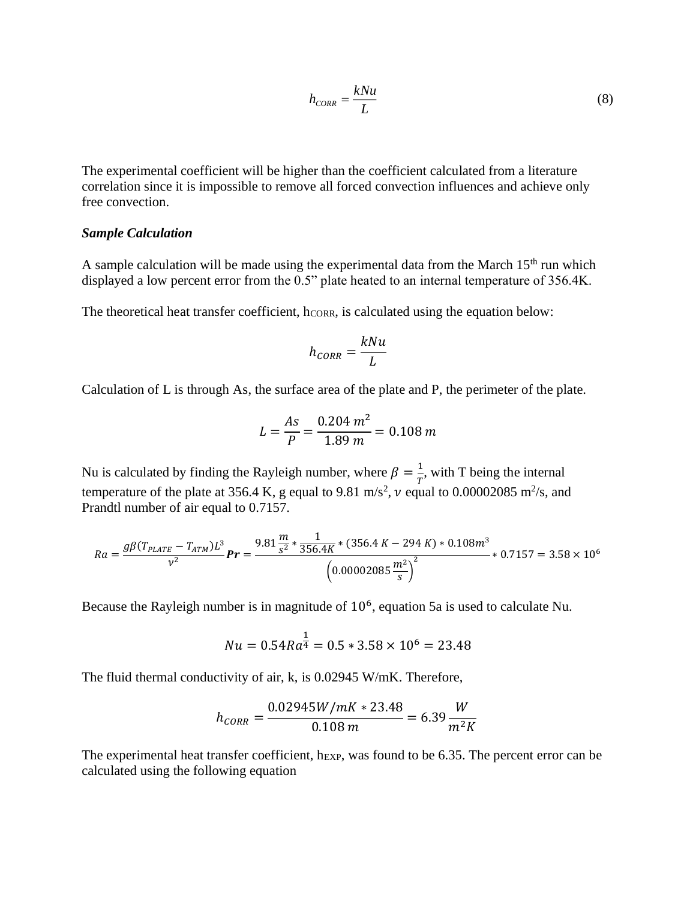$$
h_{CORR} = \frac{kNu}{L} \tag{8}
$$

The experimental coefficient will be higher than the coefficient calculated from a literature correlation since it is impossible to remove all forced convection influences and achieve only free convection.

#### *Sample Calculation*

A sample calculation will be made using the experimental data from the March  $15<sup>th</sup>$  run which displayed a low percent error from the 0.5" plate heated to an internal temperature of 356.4K.

The theoretical heat transfer coefficient,  $h_{CORR}$ , is calculated using the equation below:

$$
h_{CORR} = \frac{kNu}{L}
$$

Calculation of L is through As, the surface area of the plate and P, the perimeter of the plate.

$$
L = \frac{As}{P} = \frac{0.204 \, m^2}{1.89 \, m} = 0.108 \, m
$$

Nu is calculated by finding the Rayleigh number, where  $\beta = \frac{1}{\pi}$  $\frac{1}{T}$ , with T being the internal temperature of the plate at 356.4 K, g equal to 9.81 m/s<sup>2</sup>,  $\nu$  equal to 0.00002085 m<sup>2</sup>/s, and Prandtl number of air equal to 0.7157.

$$
Ra = \frac{g\beta(T_{PLATE} - T_{ATM})L^3}{v^2}\,Pr = \frac{9.81\frac{m}{s^2} * \frac{1}{356.4K} * (356.4K - 294K) * 0.108m^3}{(0.00002085\frac{m^2}{s})^2} * 0.7157 = 3.58 \times 10^6
$$

Because the Rayleigh number is in magnitude of  $10<sup>6</sup>$ , equation 5a is used to calculate Nu.

$$
Nu = 0.54Ra^{\frac{1}{4}} = 0.5 * 3.58 \times 10^6 = 23.48
$$

The fluid thermal conductivity of air, k, is 0.02945 W/mK. Therefore,

$$
h_{CORR} = \frac{0.02945W/mK * 23.48}{0.108 m} = 6.39 \frac{W}{m^2 K}
$$

The experimental heat transfer coefficient, h<sub>EXP</sub>, was found to be 6.35. The percent error can be calculated using the following equation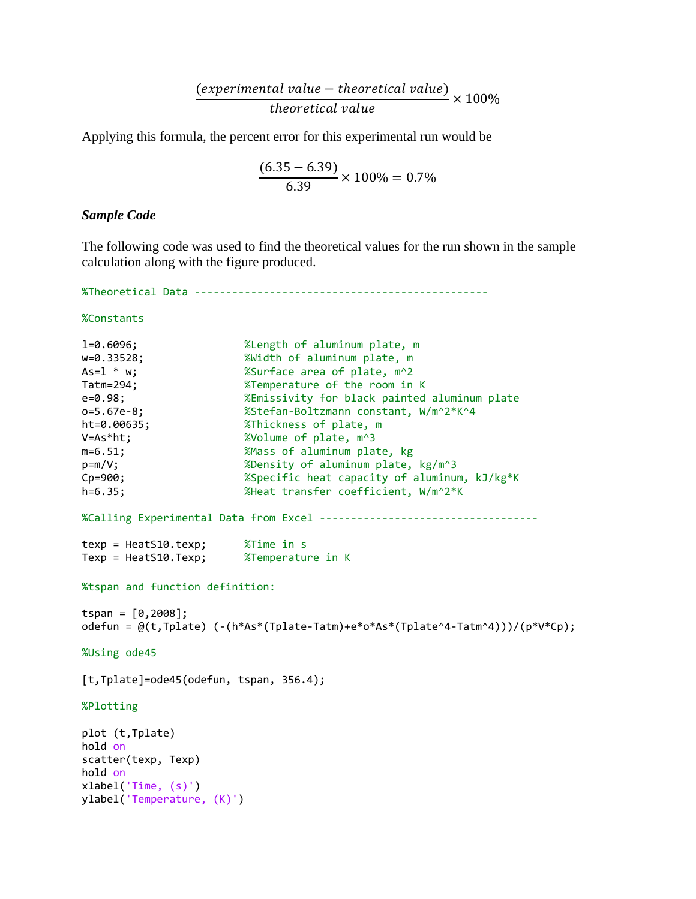$$
\frac{(experimental\ value - theoretical\ value)}{theoretical\ value} \times 100\%
$$

Applying this formula, the percent error for this experimental run would be

$$
\frac{(6.35 - 6.39)}{6.39} \times 100\% = 0.7\%
$$

#### *Sample Code*

The following code was used to find the theoretical values for the run shown in the sample calculation along with the figure produced.

%Theoretical Data -----------------------------------------------

%Constants

```
l=0.6096; %Length of aluminum plate, m
w=0.33528; %Width of aluminum plate, m
As=l * w; %Surface area of plate, m^2
Tatm=294; %Temperature of the room in K
e=0.98; %Emissivity for black painted aluminum plate
o=5.67e-8; %Stefan-Boltzmann constant, W/m^2*K^4
o=5.67e-8; <br>ht=0.00635; <br> XThickness of plate, m
V=As*ht; \text{Wolume of plate, } m^3m=6.51; %Mass of aluminum plate, kg
p=m/V; %Density of aluminum plate, kg/m^3
Cp=900; %Specific heat capacity of aluminum, kJ/kg*K
h=6.35; %Heat transfer coefficient, W/m^2*K
%Calling Experimental Data from Excel -----------------------------------
texp = HeatS10.texp; %Time in s
Texp = HeatS10.Texp; %Temperature in K
%tspan and function definition:
tspan = [0, 2008];
odefun = @(t,Tplate) (-(h*As*(Tplate-Tatm)+e*o*As*(Tplate^4-Tatm^4)))/(p*V*Cp); 
%Using ode45
[t,Tplate]=ode45(odefun, tspan, 356.4);
%Plotting
plot (t,Tplate)
hold on
scatter(texp, Texp)
hold on
xlabel('Time, (s)')
ylabel('Temperature, (K)')
```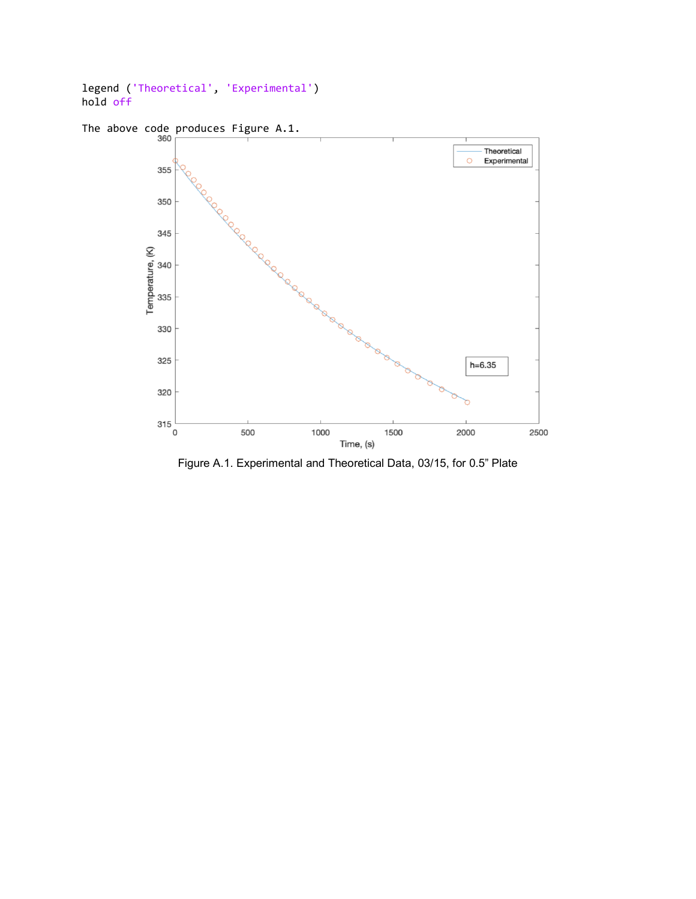```
legend ('Theoretical', 'Experimental')
hold off
```


Figure A.1. Experimental and Theoretical Data, 03/15, for 0.5" Plate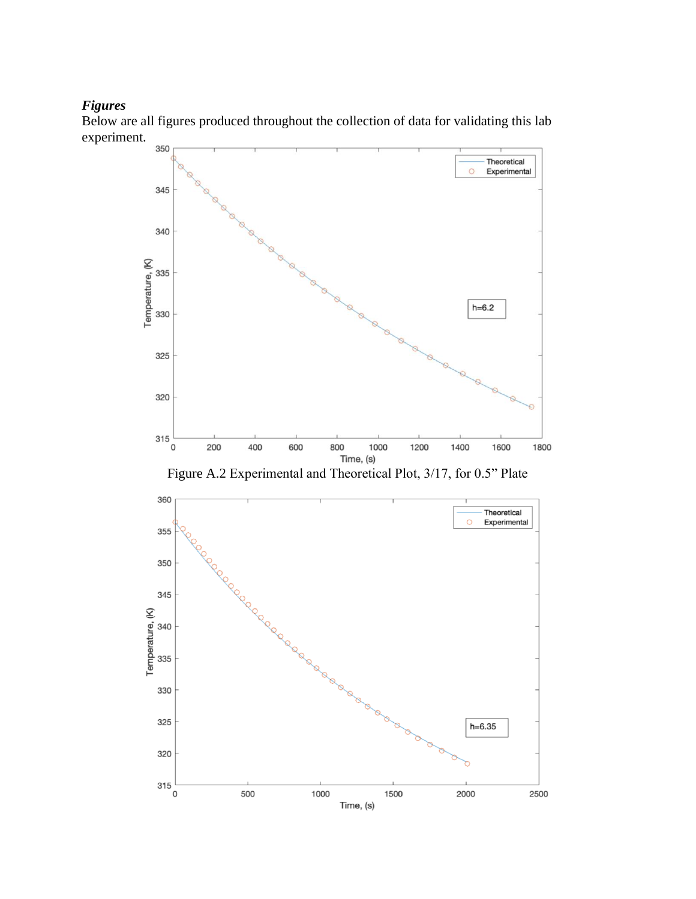## *Figures*

Below are all figures produced throughout the collection of data for validating this lab experiment.



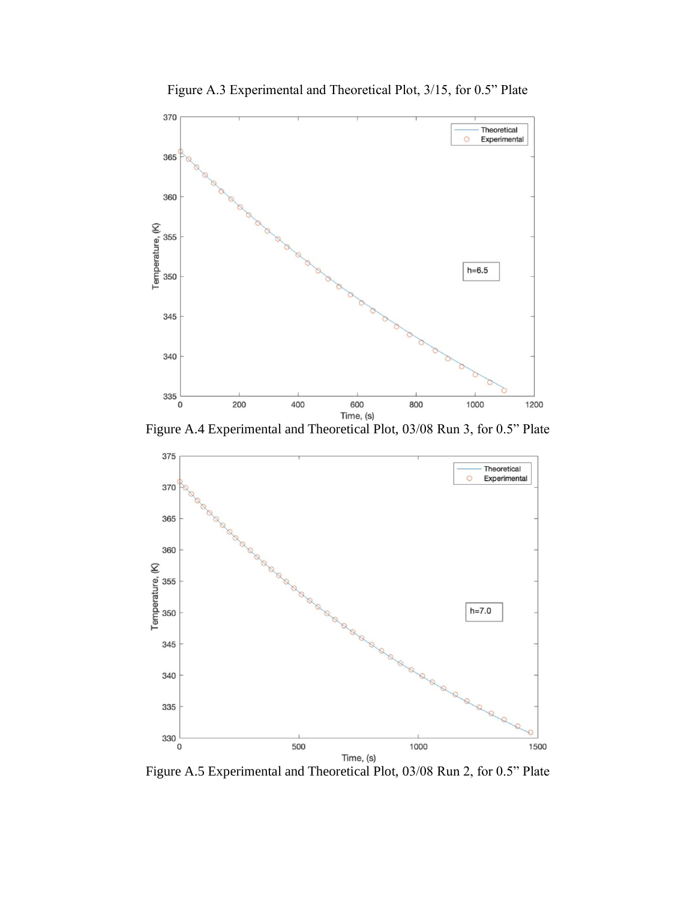

Figure A.3 Experimental and Theoretical Plot, 3/15, for 0.5" Plate

Figure A.4 Experimental and Theoretical Plot, 03/08 Run 3, for 0.5" Plate



Figure A.5 Experimental and Theoretical Plot, 03/08 Run 2, for 0.5" Plate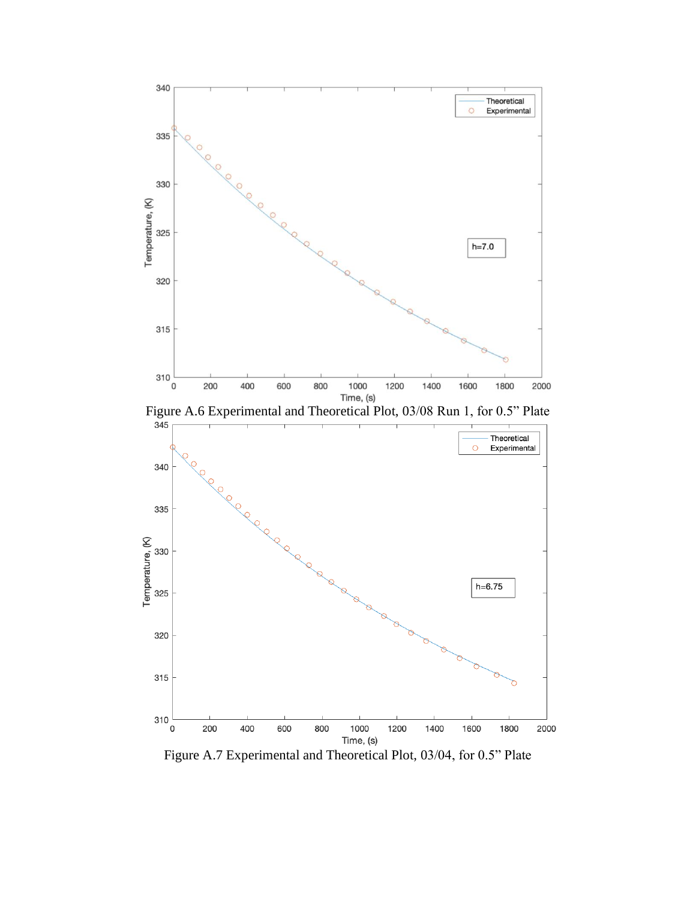



Figure A.7 Experimental and Theoretical Plot, 03/04, for 0.5" Plate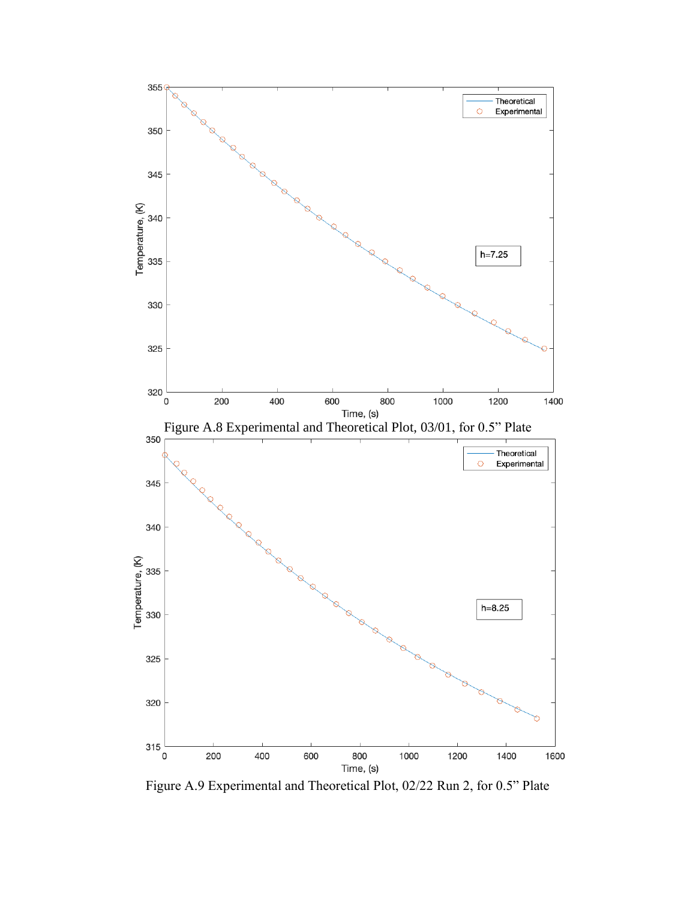

Figure A.9 Experimental and Theoretical Plot, 02/22 Run 2, for 0.5" Plate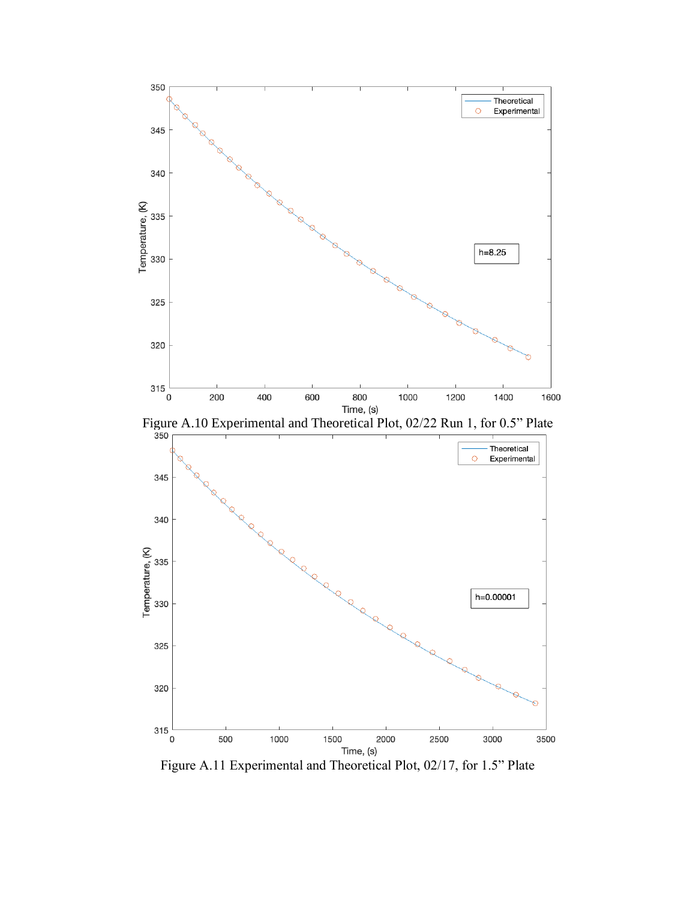

Figure A.11 Experimental and Theoretical Plot, 02/17, for 1.5" Plate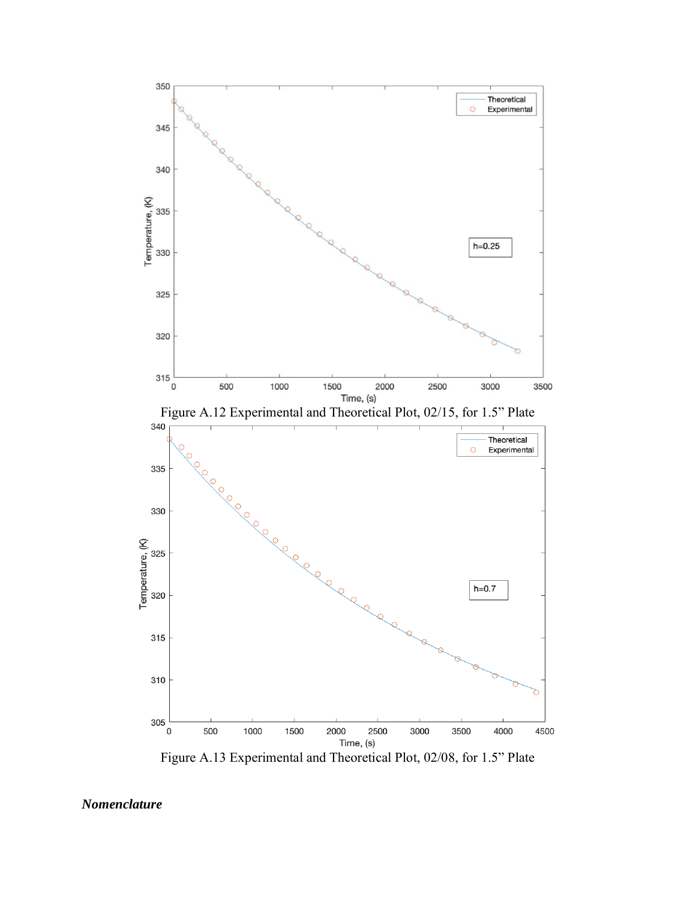

Figure A.13 Experimental and Theoretical Plot, 02/08, for 1.5" Plate

*Nomenclature*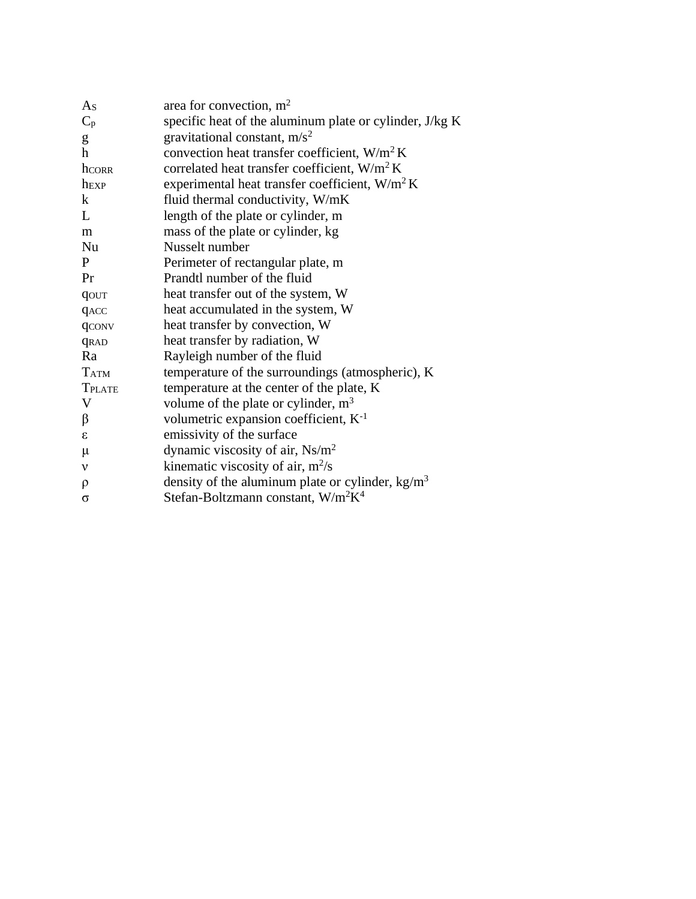| As                        | area for convection, $m2$                                  |
|---------------------------|------------------------------------------------------------|
| $C_p$                     | specific heat of the aluminum plate or cylinder, J/kg K    |
| g                         | gravitational constant, $m/s^2$                            |
| h                         | convection heat transfer coefficient, W/m <sup>2</sup> K   |
| hCORR                     | correlated heat transfer coefficient, W/m <sup>2</sup> K   |
| hEXP                      | experimental heat transfer coefficient, $W/m^2 K$          |
| k                         | fluid thermal conductivity, W/mK                           |
| $\mathbf{L}$              | length of the plate or cylinder, m                         |
| m                         | mass of the plate or cylinder, kg                          |
| Nu                        | Nusselt number                                             |
| P                         | Perimeter of rectangular plate, m                          |
| Pr                        | Prandtl number of the fluid                                |
| qout                      | heat transfer out of the system, W                         |
| <b>GACC</b>               | heat accumulated in the system, W                          |
| qconv                     | heat transfer by convection, W                             |
| <b>GRAD</b>               | heat transfer by radiation, W                              |
| Ra                        | Rayleigh number of the fluid                               |
| <b>TATM</b>               | temperature of the surroundings (atmospheric), K           |
| <b>TPLATE</b>             | temperature at the center of the plate, K                  |
| $\boldsymbol{\mathrm{V}}$ | volume of the plate or cylinder, $m3$                      |
| β                         | volumetric expansion coefficient, $K^{-1}$                 |
| $\epsilon$                | emissivity of the surface                                  |
| $\mu$                     | dynamic viscosity of air, $Ns/m^2$                         |
| $\mathbf v$               | kinematic viscosity of air, $m^2/s$                        |
| $\rho$                    | density of the aluminum plate or cylinder, $kg/m3$         |
| $\sigma$                  | Stefan-Boltzmann constant, W/m <sup>2</sup> K <sup>4</sup> |
|                           |                                                            |